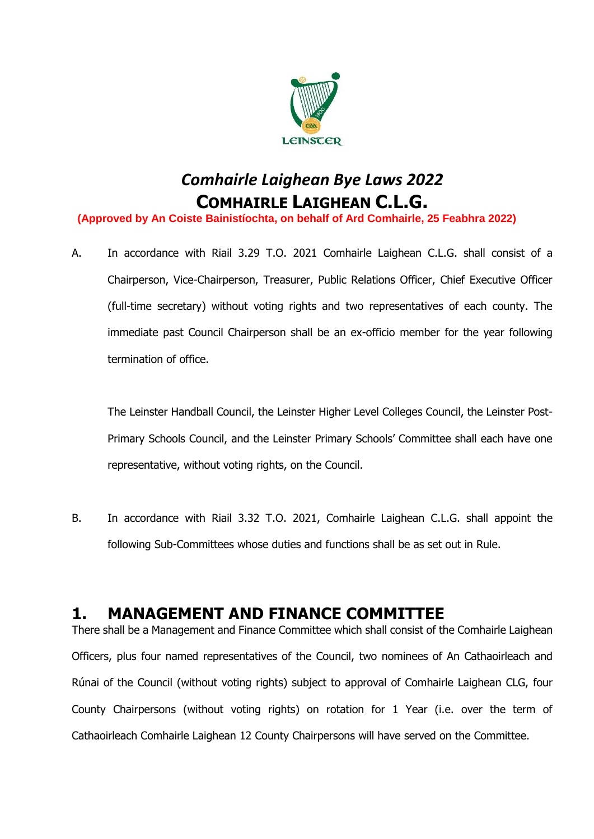

# *Comhairle Laighean Bye Laws 2022* **COMHAIRLE LAIGHEAN C.L.G.**

**(Approved by An Coiste Bainistíochta, on behalf of Ard Comhairle, 25 Feabhra 2022)**

A. In accordance with Riail 3.29 T.O. 2021 Comhairle Laighean C.L.G. shall consist of a Chairperson, Vice-Chairperson, Treasurer, Public Relations Officer, Chief Executive Officer (full-time secretary) without voting rights and two representatives of each county. The immediate past Council Chairperson shall be an ex-officio member for the year following termination of office.

The Leinster Handball Council, the Leinster Higher Level Colleges Council, the Leinster Post-Primary Schools Council, and the Leinster Primary Schools' Committee shall each have one representative, without voting rights, on the Council.

B. In accordance with Riail 3.32 T.O. 2021, Comhairle Laighean C.L.G. shall appoint the following Sub-Committees whose duties and functions shall be as set out in Rule.

### **1. MANAGEMENT AND FINANCE COMMITTEE**

There shall be a Management and Finance Committee which shall consist of the Comhairle Laighean Officers, plus four named representatives of the Council, two nominees of An Cathaoirleach and Rúnai of the Council (without voting rights) subject to approval of Comhairle Laighean CLG, four County Chairpersons (without voting rights) on rotation for 1 Year (i.e. over the term of Cathaoirleach Comhairle Laighean 12 County Chairpersons will have served on the Committee.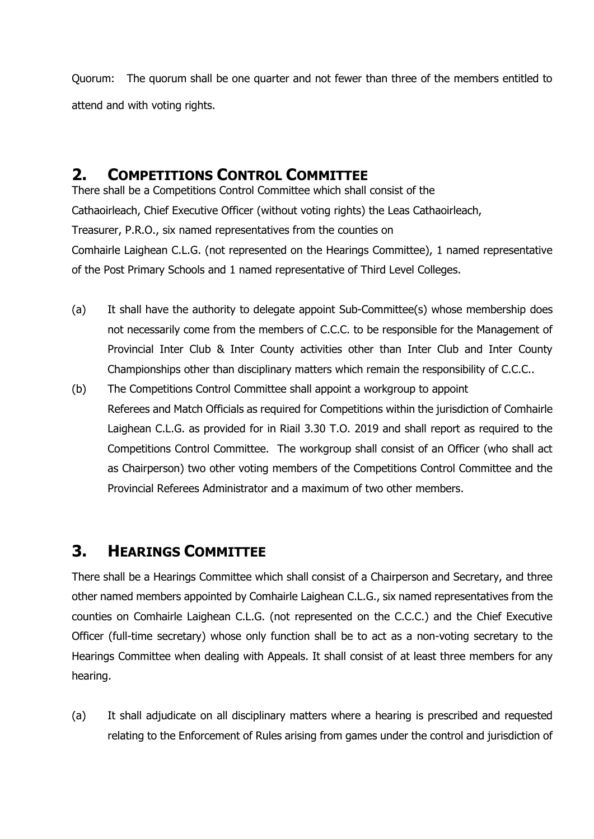Quorum: The quorum shall be one quarter and not fewer than three of the members entitled to attend and with voting rights.

#### **2. COMPETITIONS CONTROL COMMITTEE**

There shall be a Competitions Control Committee which shall consist of the Cathaoirleach, Chief Executive Officer (without voting rights) the Leas Cathaoirleach, Treasurer, P.R.O., six named representatives from the counties on Comhairle Laighean C.L.G. (not represented on the Hearings Committee), 1 named representative of the Post Primary Schools and 1 named representative of Third Level Colleges.

- (a) It shall have the authority to delegate appoint Sub-Committee(s) whose membership does not necessarily come from the members of C.C.C. to be responsible for the Management of Provincial Inter Club & Inter County activities other than Inter Club and Inter County Championships other than disciplinary matters which remain the responsibility of C.C.C..
- (b) The Competitions Control Committee shall appoint a workgroup to appoint Referees and Match Officials as required for Competitions within the jurisdiction of Comhairle Laighean C.L.G. as provided for in Riail 3.30 T.O. 2019 and shall report as required to the Competitions Control Committee. The workgroup shall consist of an Officer (who shall act as Chairperson) two other voting members of the Competitions Control Committee and the Provincial Referees Administrator and a maximum of two other members.

### **3. HEARINGS COMMITTEE**

There shall be a Hearings Committee which shall consist of a Chairperson and Secretary, and three other named members appointed by Comhairle Laighean C.L.G., six named representatives from the counties on Comhairle Laighean C.L.G. (not represented on the C.C.C.) and the Chief Executive Officer (full-time secretary) whose only function shall be to act as a non-voting secretary to the Hearings Committee when dealing with Appeals. It shall consist of at least three members for any hearing.

(a) It shall adjudicate on all disciplinary matters where a hearing is prescribed and requested relating to the Enforcement of Rules arising from games under the control and jurisdiction of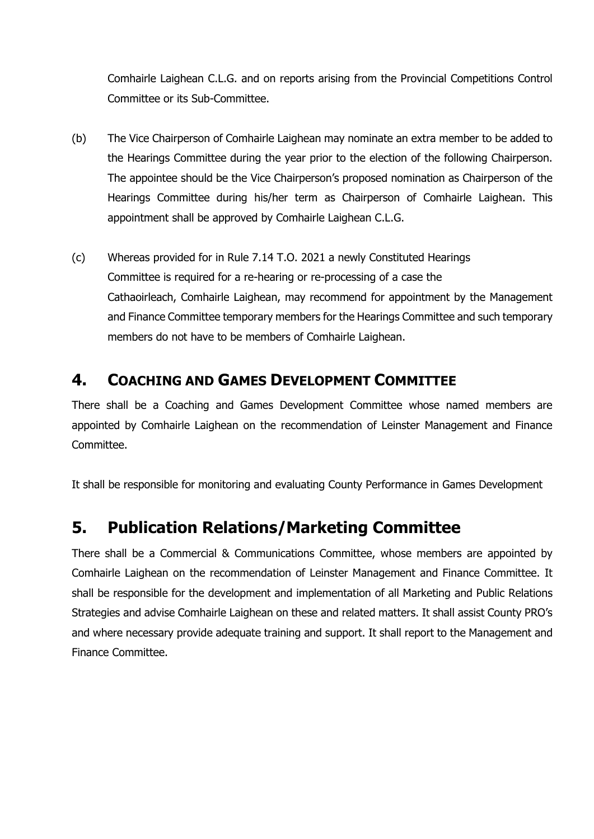Comhairle Laighean C.L.G. and on reports arising from the Provincial Competitions Control Committee or its Sub-Committee.

- (b) The Vice Chairperson of Comhairle Laighean may nominate an extra member to be added to the Hearings Committee during the year prior to the election of the following Chairperson. The appointee should be the Vice Chairperson's proposed nomination as Chairperson of the Hearings Committee during his/her term as Chairperson of Comhairle Laighean. This appointment shall be approved by Comhairle Laighean C.L.G.
- (c) Whereas provided for in Rule 7.14 T.O. 2021 a newly Constituted Hearings Committee is required for a re-hearing or re-processing of a case the Cathaoirleach, Comhairle Laighean, may recommend for appointment by the Management and Finance Committee temporary members for the Hearings Committee and such temporary members do not have to be members of Comhairle Laighean.

#### **4. COACHING AND GAMES DEVELOPMENT COMMITTEE**

There shall be a Coaching and Games Development Committee whose named members are appointed by Comhairle Laighean on the recommendation of Leinster Management and Finance Committee.

It shall be responsible for monitoring and evaluating County Performance in Games Development

# **5. Publication Relations/Marketing Committee**

There shall be a Commercial & Communications Committee, whose members are appointed by Comhairle Laighean on the recommendation of Leinster Management and Finance Committee. It shall be responsible for the development and implementation of all Marketing and Public Relations Strategies and advise Comhairle Laighean on these and related matters. It shall assist County PRO's and where necessary provide adequate training and support. It shall report to the Management and Finance Committee.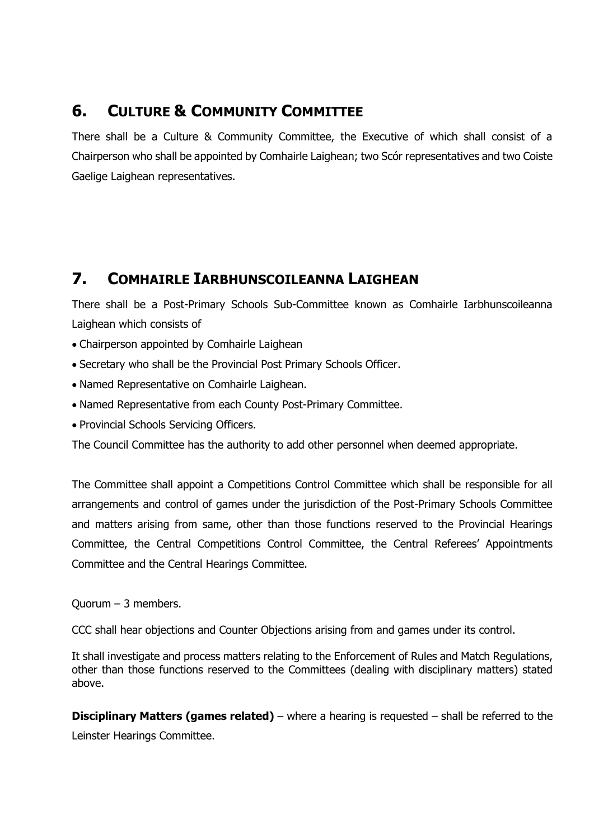### **6. CULTURE & COMMUNITY COMMITTEE**

There shall be a Culture & Community Committee, the Executive of which shall consist of a Chairperson who shall be appointed by Comhairle Laighean; two Scór representatives and two Coiste Gaelige Laighean representatives.

### **7. COMHAIRLE IARBHUNSCOILEANNA LAIGHEAN**

There shall be a Post-Primary Schools Sub-Committee known as Comhairle Iarbhunscoileanna Laighean which consists of

- Chairperson appointed by Comhairle Laighean
- Secretary who shall be the Provincial Post Primary Schools Officer.
- Named Representative on Comhairle Laighean.
- Named Representative from each County Post-Primary Committee.
- Provincial Schools Servicing Officers.

The Council Committee has the authority to add other personnel when deemed appropriate.

The Committee shall appoint a Competitions Control Committee which shall be responsible for all arrangements and control of games under the jurisdiction of the Post-Primary Schools Committee and matters arising from same, other than those functions reserved to the Provincial Hearings Committee, the Central Competitions Control Committee, the Central Referees' Appointments Committee and the Central Hearings Committee.

Quorum – 3 members.

CCC shall hear objections and Counter Objections arising from and games under its control.

It shall investigate and process matters relating to the Enforcement of Rules and Match Regulations, other than those functions reserved to the Committees (dealing with disciplinary matters) stated above.

**Disciplinary Matters (games related)** – where a hearing is requested – shall be referred to the Leinster Hearings Committee.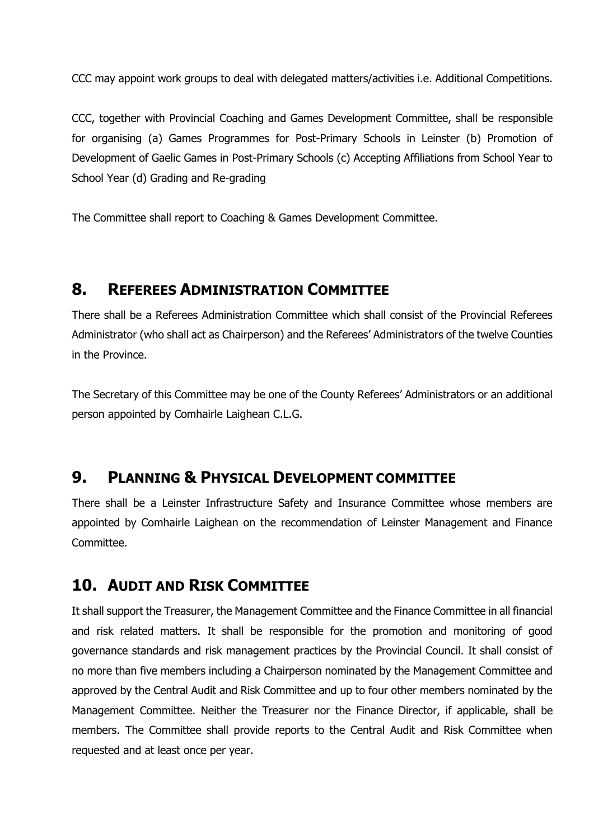CCC may appoint work groups to deal with delegated matters/activities i.e. Additional Competitions.

CCC, together with Provincial Coaching and Games Development Committee, shall be responsible for organising (a) Games Programmes for Post-Primary Schools in Leinster (b) Promotion of Development of Gaelic Games in Post-Primary Schools (c) Accepting Affiliations from School Year to School Year (d) Grading and Re-grading

The Committee shall report to Coaching & Games Development Committee.

#### **8. REFEREES ADMINISTRATION COMMITTEE**

There shall be a Referees Administration Committee which shall consist of the Provincial Referees Administrator (who shall act as Chairperson) and the Referees' Administrators of the twelve Counties in the Province.

The Secretary of this Committee may be one of the County Referees' Administrators or an additional person appointed by Comhairle Laighean C.L.G.

#### **9. PLANNING & PHYSICAL DEVELOPMENT COMMITTEE**

There shall be a Leinster Infrastructure Safety and Insurance Committee whose members are appointed by Comhairle Laighean on the recommendation of Leinster Management and Finance Committee.

#### **10. AUDIT AND RISK COMMITTEE**

It shall support the Treasurer, the Management Committee and the Finance Committee in all financial and risk related matters. It shall be responsible for the promotion and monitoring of good governance standards and risk management practices by the Provincial Council. It shall consist of no more than five members including a Chairperson nominated by the Management Committee and approved by the Central Audit and Risk Committee and up to four other members nominated by the Management Committee. Neither the Treasurer nor the Finance Director, if applicable, shall be members. The Committee shall provide reports to the Central Audit and Risk Committee when requested and at least once per year.